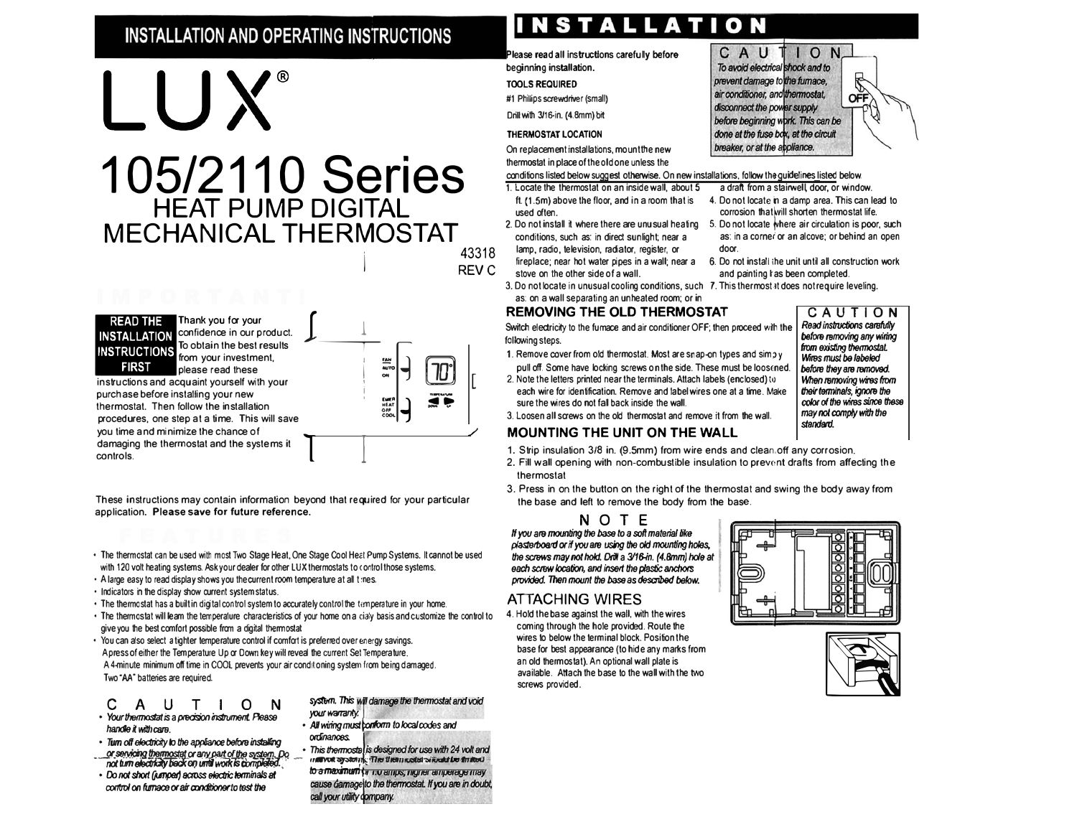# **INSTALLATION AND OPERATING INSTRUCTIONS**

**105/2110 Series** 

**HEAT PUMP DIGITAL** 

**MECHANICAL THERMOSTAT** 

# **INSTALLATION**

Please read all instructions carefully before beginning installation.

**TOOLS REQUIRED** 

#1 Phillips screwdriver (small)

Drill with 3/16-in. (4.8mm) bit

### THERMOSTAT LOCATION

On replacement installations, mount the new thermostat in place of the old one unless the

conditions listed below suggest otherwise. On new installations, follow the guidelines listed below.

- 1. Locate the thermostat on an inside wall, about 5 used often.
- 2. Do not install it where there are unusual heating 5. Do not locate where air circulation is poor, such conditions, such as: in direct sunlight; near a
- 43318 fireplace; near hot water pipes in a wall; near a RFV C
	- 3. Do not locate in unusual cooling conditions, such 7. This thermostal does not require leveling.

### **REMOVING THE OLD THERMOSTAT**

Switch electricity to the fumace and air conditioner OFF; then proceed with the following steps.

- 1. Remove cover from old thermostat. Most are snap-on types and simply
- 2. Note the letters printed near the terminals. Attach labels (enclosed) to each wire for identification. Remove and label wires one at a time. Make sure the wires do not fall back inside the wall.
- 3. Loosen all screws on the old thermostat and remove it from the wall.

### **MOUNTING THE UNIT ON THE WALL**

- 1. Strip insulation 3/8 in. (9.5mm) from wire ends and clean off any corrosion.
- 2. Fill wall opening with non-combustible insulation to prevent drafts from affecting the thermostat
- the base and left to remove the body from the base.

If you are mounting the base to a soft material like plasterboard or if you are using the old mounting holes, the screws may not hold. Drill a 3/16-in. (4.8mm) hole at each screw location, and insert the plastic anchors provided. Then mount the base as described below.

### **ATTACHING WIRES**

4. Hold the base against the wall, with the wires coming through the hole provided. Route the wires to below the terminal block. Position the base for best appearance (to hide any marks from an old thermostat). An optional wall plate is available. Attach the base to the wall with the two screws provided.

### a draft from a stairwell, door, or window. 4. Do not locate in a damp area. This can lead to corrosion that will shorten thermostat life.

as: in a corner or an alcove; or behind an open door.

ION

OFF

CAU

To avoid electrical shock and to

before beginning work. This can be

prevent damage to the fumace.

air conditioner, and thermostat,

disconnect the power supply

- 6. Do not install the unit until all construction work and painting I as been completed.
- 

# CAUTION

Read instructions carefully before removing any wiring from existing thermostat. Wires must be labeled before they are removed. When removing wires from their terminals, ignore the color of the wires since these may not comply with the standard.



controls.

confidence in our product. To obtain the best results from your investment. please read these instructions and acquaint yourself with your purchase before installing your new thermostat. Then follow the installation procedures, one step at a time. This will save

LUX®

you time and minimize the chance of damaging the thermostat and the systems it

These instructions may contain information beyond that required for your particular application. Please save for future reference.

- . The thermostat can be used with most Two Stage Heat, One Stage Cool Heat Pump Systems, It cannot be used with 120 volt heating systems. Ask your dealer for other LUX thermostats to control those systems.
- A large easy to read display shows you the current room temperature at all times.
- 
- . The thermostat has a built in digital control system to accurately control the temperature in your home.
- . The thermostat will leam the temperature characteristics of your home on a cialy basis and customize the control to give you the best comfort possible from a digital thermostat
- · You can also select a tighter temperature control if comfort is preferred over energy savings. A press of either the Temperature Up or Down key will reveal the current Set Temperature. A 4-minute minimum off time in COOL prevents your air conditioning system from being damaged. Two "AA" batteries are required.

### $\mathbf C$ A U T I O N

- Your thermostat is a precision instrument. Please handle it with care.
- · Turn off electricity to the appliance before installing or servicing thermostat or any part of the system. Do
- not turn electricity back on until work is completed. · Do not short (jumped) across electric terminals at
- control on furnace or air conditioner to test the

### system. This will damage the thermostat and void your warranty.

EMER<br>HEAT

- All winng must conform to local codes and ordinances
- This thermostal is designed for use with 24 volt and marvot ayatom, The them restat a road be finited to a maximum or no amps, nigher amperage may cause damage to the thermostat. If you are in doubt,

done at the fuse box, at the circuit breaker, or at the appliance.

- ft. (1.5m) above the floor, and in a room that is
- lamp, radio, television, radiator, register, or
- stove on the other side of a wall.
- as: on a wall separating an unheated room; or in

# pull off. Some have locking screws on the side. These must be loosened.

- 
- 3. Press in on the button on the right of the thermostat and swing the body away from

NOTE





- 
- 
- 
- . Indicators in the display show current system status.
- -
- 

call your utility dompany.

- 
-